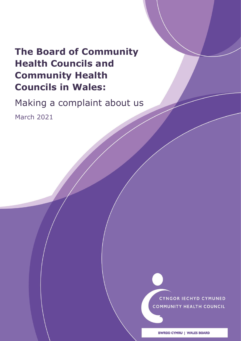## **The Board of Community Health Councils and Community Health Councils in Wales:**

Making a complaint about us

March 2021

CYNGOR IECHYD CYMUNED **COMMUNITY HEALTH COUNCIL** (Version 9 - Agreed CGC) 9 - Agreed CG Checker

**BWRDD CYMRU | WALES BOARD**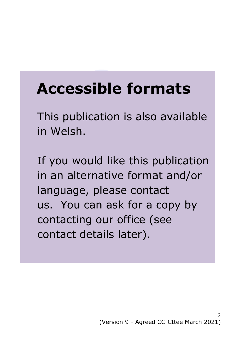# **Accessible formats**

This publication is also available in Welsh.

If you would like this publication in an alternative format and/or language, please contact us. You can ask for a copy by contacting our office (see contact details later).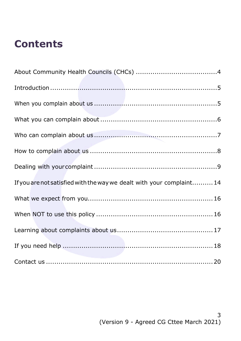## **Contents**

| If you are not satisfied with the way we dealt with your complaint 14 |
|-----------------------------------------------------------------------|
|                                                                       |
|                                                                       |
|                                                                       |
|                                                                       |
|                                                                       |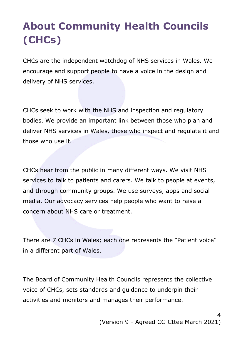## <span id="page-3-0"></span>**About Community Health Councils (CHCs)**

CHCs are the independent watchdog of NHS services in Wales. We encourage and support people to have a voice in the design and delivery of NHS services.

CHCs seek to work with the NHS and inspection and regulatory bodies. We provide an important link between those who plan and deliver NHS services in Wales, those who inspect and regulate it and those who use it.

CHCs hear from the public in many different ways. We visit NHS services to talk to patients and carers. We talk to people at events, and through community groups. We use surveys, apps and social media. Our advocacy services help people who want to raise a concern about NHS care or treatment.

There are 7 CHCs in Wales; each one represents the "Patient voice" in a different part of Wales.

The Board of Community Health Councils represents the collective voice of CHCs, sets standards and guidance to underpin their activities and monitors and manages their performance.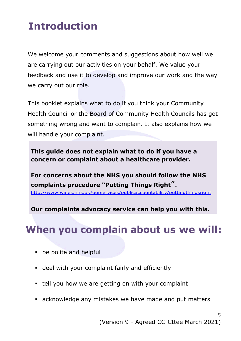## <span id="page-4-0"></span>**Introduction**

We welcome your comments and suggestions about how well we are carrying out our activities on your behalf. We value your feedback and use it to develop and improve our work and the way we carry out our role.

This booklet explains what to do if you think your Community Health Council or the Board of Community Health Councils has got something wrong and want to complain. It also explains how we will handle your complaint.

**This guide does not explain what to do if you have a concern or complaint about a healthcare provider.** 

**For concerns about the NHS you should follow the NHS complaints procedure "[Putting Things Right](http://www.wales.nhs.uk/sites3/home.cfm?orgid=932)**". <http://www.wales.nhs.uk/ourservices/publicaccountability/puttingthingsright>

**Our complaints advocacy service can help you with this.**

### <span id="page-4-1"></span>**When you complain about us we will:**

- **•** be polite and helpful
- deal with your complaint fairly and efficiently
- **tell you how we are getting on with your complaint**
- acknowledge any mistakes we have made and put matters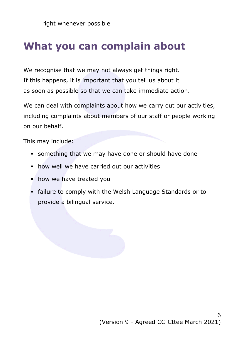## <span id="page-5-0"></span>**What you can complain about**

We recognise that we may not always get things right. If this happens, it is important that you tell us about it as soon as possible so that we can take immediate action.

We can deal with complaints about how we carry out our activities, including complaints about members of our staff or people working on our behalf.

This may include:

- something that we may have done or should have done
- **how well we have carried out our activities**
- how we have treated you
- failure to comply with the Welsh Language Standards or to provide a bilingual service.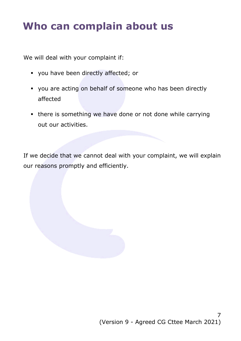## <span id="page-6-0"></span>**Who can complain about us**

We will deal with your complaint if:

- you have been directly affected; or
- you are acting on behalf of someone who has been directly affected
- there is something we have done or not done while carrying out our activities.

If we decide that we cannot deal with your complaint, we will explain our reasons promptly and efficiently.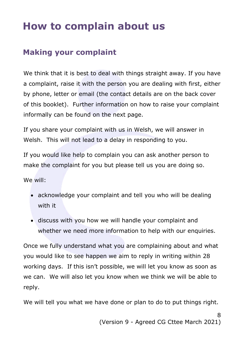## <span id="page-7-0"></span>**How to complain about us**

### **Making your complaint**

We think that it is best to deal with things straight away. If you have a complaint, raise it with the person you are dealing with first, either by phone, letter or email (the contact details are on the back cover of this booklet). Further information on how to raise your complaint informally can be found on the next page.

If you share your complaint with us in Welsh, we will answer in Welsh. This will not lead to a delay in responding to you.

If you would like help to complain you can ask another person to make the complaint for you but please tell us you are doing so.

We will:

- acknowledge your complaint and tell you who will be dealing with it
- discuss with you how we will handle your complaint and whether we need more information to help with our enquiries.

Once we fully understand what you are complaining about and what you would like to see happen we aim to reply in writing within 28 working days. If this isn't possible, we will let you know as soon as we can. We will also let you know when we think we will be able to reply.

We will tell you what we have done or plan to do to put things right.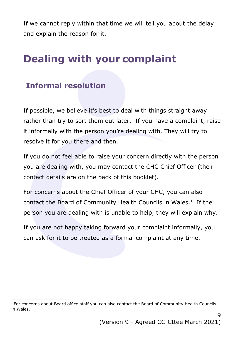If we cannot reply within that time we will tell you about the delay and explain the reason for it.

## <span id="page-8-0"></span>**Dealing with your complaint**

### **Informal resolution**

If possible, we believe it's best to deal with things straight away rather than try to sort them out later. If you have a complaint, raise it informally with the person you're dealing with. They will try to resolve it for you there and then.

If you do not feel able to raise your concern directly with the person you are dealing with, you may contact the CHC Chief Officer (their contact details are on the back of this booklet).

For concerns about the Chief Officer of your CHC, you can also contact the Board of Community Health Councils in Wales. $<sup>1</sup>$  If the</sup> person you are dealing with is unable to help, they will explain why.

If you are not happy taking forward your complaint informally, you can ask for it to be treated as a formal complaint at any time.

 $\overline{a}$ <sup>1</sup> For concerns about Board office staff you can also contact the Board of Community Health Councils in Wales.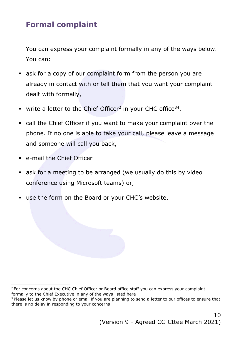### **Formal complaint**

You can express your complaint formally in any of the ways below. You can:

- ask for a copy of our complaint form from the person you are already in contact with or tell them that you want your complaint dealt with formally,
- write a letter to the Chief Officer<sup>2</sup> in your CHC office<sup>34</sup>,
- call the Chief Officer if you want to make your complaint over the phone. If no one is able to take your call, please leave a message and someone will call you back,
- e-mail the Chief Officer

 $\overline{a}$ 

- ask for a meeting to be arranged (we usually do this by video conference using Microsoft teams) or,
- use the form on the Board or your CHC's website.

<sup>&</sup>lt;sup>2</sup> For concerns about the CHC Chief Officer or Board office staff you can express your complaint formally to the Chief Executive in any of the ways listed here

<sup>&</sup>lt;sup>3</sup> Please let us know by phone or email if you are planning to send a letter to our offices to ensure that there is no delay in responding to your concerns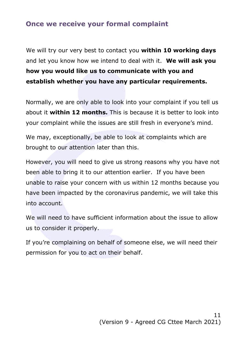#### **Once we receive your formal complaint**

We will try our very best to contact you **within 10 working days** and let you know how we intend to deal with it. **We will ask you how you would like us to communicate with you and establish whether you have any particular requirements.**

Normally, we are only able to look into your complaint if you tell us about it **within 12 months.** This is because it is better to look into your complaint while the issues are still fresh in everyone's mind.

We may, exceptionally, be able to look at complaints which are brought to our attention later than this.

However, you will need to give us strong reasons why you have not been able to bring it to our attention earlier. If you have been unable to raise your concern with us within 12 months because you have been impacted by the coronavirus pandemic, we will take this into account.

We will need to have sufficient information about the issue to allow us to consider it properly.

If you're complaining on behalf of someone else, we will need their permission for you to act on their behalf.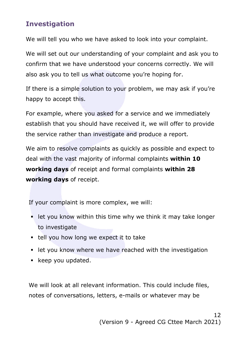#### **Investigation**

We will tell you who we have asked to look into your complaint.

We will set out our understanding of your complaint and ask you to confirm that we have understood your concerns correctly. We will also ask you to tell us what outcome you're hoping for.

If there is a simple solution to your problem, we may ask if you're happy to accept this.

For example, where you asked for a service and we immediately establish that you should have received it, we will offer to provide the service rather than investigate and produce a report.

We aim to resolve complaints as quickly as possible and expect to deal with the vast majority of informal complaints **within 10 working days** of receipt and formal complaints **within 28 working days** of receipt.

If your complaint is more complex, we will:

- **EXTER 1** Let you know within this time why we think it may take longer to investigate
- $\blacksquare$  tell you how long we expect it to take
- let you know where we have reached with the investigation
- keep you updated.

We will look at all relevant information. This could include files, notes of conversations, letters, e-mails or whatever may be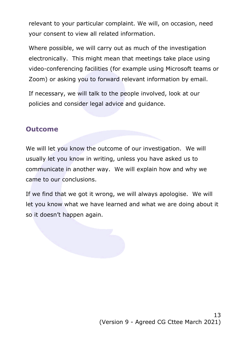relevant to your particular complaint. We will, on occasion, need your consent to view all related information.

Where possible, we will carry out as much of the investigation electronically. This might mean that meetings take place using video-conferencing facilities (for example using Microsoft teams or Zoom) or asking you to forward relevant information by email.

If necessary, we will talk to the people involved, look at our policies and consider legal advice and guidance.

#### **Outcome**

We will let you know the outcome of our investigation. We will usually let you know in writing, unless you have asked us to communicate in another way. We will explain how and why we came to our conclusions.

If we find that we got it wrong, we will always apologise. We will let you know what we have learned and what we are doing about it so it doesn't happen again.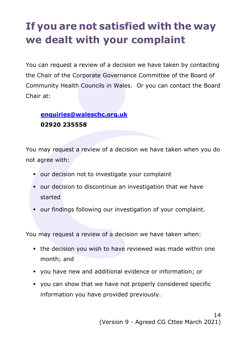## <span id="page-13-0"></span>**If you are not satisfied with the way we dealt with your complaint**

You can request a review of a decision we have taken by contacting the Chair of the Corporate Governance Committee of the Board of Community Health Councils in Wales. Or you can contact the Board Chair at:

#### **[enquiries@waleschc.org.uk](mailto:enquiries@waleschc.org.uk) 02920 235558**

You may request a review of a decision we have taken when you do not agree with:

- **our decision not to investigate your complaint**
- our decision to discontinue an investigation that we have started
- our findings following our investigation of your complaint.

You may request a review of a decision we have taken when:

- the decision you wish to have reviewed was made within one month; and
- you have new and additional evidence or information; or
- you can show that we have not properly considered specific information you have provided previously.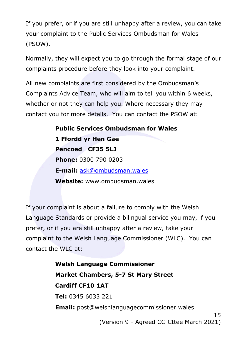If you prefer, or if you are still unhappy after a review, you can take your complaint to the Public Services Ombudsman for Wales (PSOW).

Normally, they will expect you to go through the formal stage of our complaints procedure before they look into your complaint.

All new complaints are first considered by the Ombudsman's Complaints Advice Team, who will aim to tell you within 6 weeks, whether or not they can help you. Where necessary they may contact you for more details. You can contact the PSOW at:

> **Public Services Ombudsman for Wales 1 Ffordd yr Hen Gae Pencoed CF35 5LJ Phone:** 0300 790 0203 **E-mail:** [ask@ombudsman.wales](mailto:ask@ombudsman.wales) **Website:** www.ombudsman.wales

If your complaint is about a failure to comply with the Welsh Language Standards or provide a bilingual service you may, if you prefer, or if you are still unhappy after a review, take your complaint to the Welsh Language Commissioner (WLC). You can contact the WLC at:

> 15 **Welsh Language Commissioner Market Chambers, 5-7 St Mary Street Cardiff CF10 1AT Tel:** 0345 6033 221 **Email:** post@welshlanguagecommissioner.wales

(Version 9 - Agreed CG Cttee March 2021)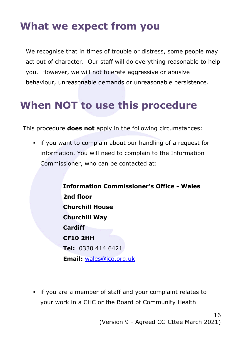## <span id="page-15-0"></span>**What we expect from you**

We recognise that in times of trouble or distress, some people may act out of character. Our staff will do everything reasonable to help you. However, we will not tolerate aggressive or abusive behaviour, unreasonable demands or unreasonable persistence.

## <span id="page-15-1"></span>**When NOT to use this procedure**

This procedure **does not** apply in the following circumstances:

 if you want to complain about our handling of a request for information. You will need to complain to the Information Commissioner, who can be contacted at:

> **Information Commissioner's Office - Wales 2nd floor Churchill House Churchill Way Cardiff CF10 2HH Tel:** 0330 414 6421 **Email:** [wales@ico.org.uk](mailto:wales@ico.org.uk)

 if you are a member of staff and your complaint relates to your work in a CHC or the Board of Community Health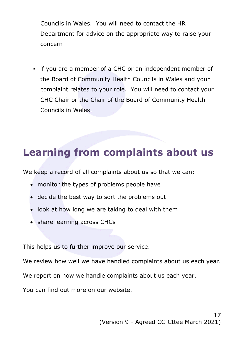Councils in Wales. You will need to contact the HR Department for advice on the appropriate way to raise your concern

 if you are a member of a CHC or an independent member of the Board of Community Health Councils in Wales and your complaint relates to your role. You will need to contact your CHC Chair or the Chair of the Board of Community Health Councils in Wales.

### <span id="page-16-0"></span>**Learning from complaints about us**

We keep a record of all complaints about us so that we can:

- monitor the types of problems people have
- decide the best way to sort the problems out
- look at how long we are taking to deal with them
- share learning across CHCs

This helps us to further improve our service.

We review how well we have handled complaints about us each year.

We report on how we handle complaints about us each year.

You can find out more on our website.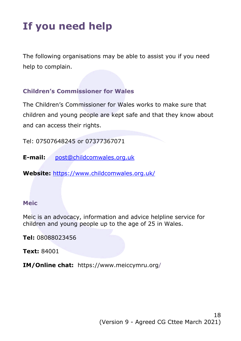## <span id="page-17-0"></span>**If you need help**

The following organisations may be able to assist you if you need help to complain.

#### **Children's Commissioner for Wales**

The Children's Commissioner for Wales works to make sure that children and young people are kept safe and that they know about and can access their rights.

Tel: 07507648245 or 07377367071

**E-mail:** [post@childcomwales.org.uk](mailto:post@childcomwales.org.uk)

**Website:** https://www.childcomwales.org.uk/

#### **Meic**

Meic is an advocacy, information and advice helpline service for children and young people up to the age of 25 in Wales.

**Tel:** 08088023456

**Text:** 84001

**IM/Online chat:** https://www.meiccymru.org/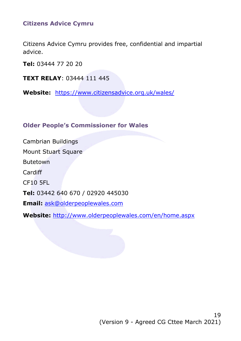#### **Citizens Advice Cymru**

Citizens Advice Cymru provides free, confidential and impartial advice.

**Tel:** 03444 77 20 20

**TEXT RELAY**: 03444 111 445

**Website:** https://www.citizensadvice.org.uk/wales/

#### **Older People's Commissioner for Wales**

Cambrian Buildings Mount Stuart Square Butetown Cardiff CF10 5FL **Tel:** 03442 640 670 / 02920 445030 **Email:** [ask@olderpeoplewales.com](mailto:ask@olderpeoplewales.com)

<span id="page-18-0"></span>**Website:** <http://www.olderpeoplewales.com/en/home.aspx>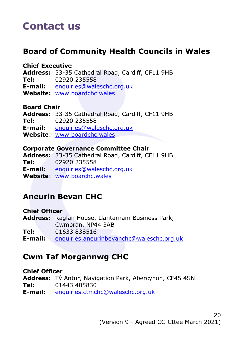## **Contact us**

### **Board of Community Health Councils in Wales**

#### **Chief Executive**

**Address:** 33-35 Cathedral Road, Cardiff, CF11 9HB **Tel:** 02920 235558 **E-mail:** [enquiries@waleschc.org.uk](mailto:enquiries@waleschc.org.uk)

**Website:** [www.boardchc.wales](http://www.boardchc.wales/)

#### **Board Chair**

**Address:** 33-35 Cathedral Road, Cardiff, CF11 9HB **Tel:** 02920 235558 **E-mail:** [enquiries@waleschc.org.uk](mailto:enquiries@waleschc.org.uk) **Website**: [www.boardchc.wales](http://www.boardchc.wales/)

#### **Corporate Governance Committee Chair**

**Address:** 33-35 Cathedral Road, Cardiff, CF11 9HB **Tel:** 02920 235558 **E-mail:** [enquiries@waleschc.org.uk](mailto:enquiries@waleschc.org.uk) **Website**: [www.boarchc.wales](http://www.communityhealthcouncils.org.uk/)

### **Aneurin Bevan CHC**

**Chief Officer Address:** Raglan House, Llantarnam Business Park, Cwmbran, NP44 3AB **Tel:** 01633 838516 **E-mail:** [enquiries.aneurinbevanchc@waleschc.org.uk](mailto:enquiries.aneurinbevanchc@waleschc.org.uk)

### **Cwm Taf Morgannwg CHC**

#### **Chief Officer**

**Address:** Tŷ Antur, Navigation Park, Abercynon, CF45 4SN **Tel:** 01443 405830 **E-mail:** [enquiries.ctmchc@waleschc.org.uk](mailto:enquiries.ctmchc@waleschc.org.uk)